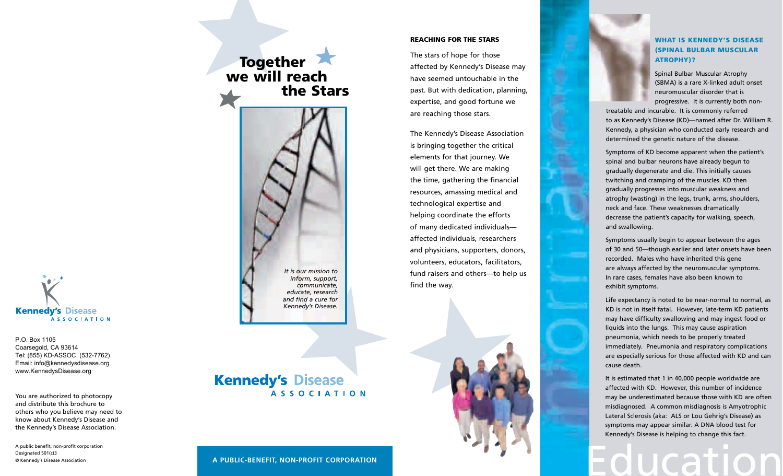# **Kennedy's Disease**

P.O. Box 1105 Coarsegold, CA 93614 Tel: (855) KD-ASSOC (532-7762) Email: info@kennedysdisease.org www.KennedysDisease.org

You are authorized to photocopy and distribute this brochure to others who you believe may need to know about Kennedy's Disease and the Kennedy's Disease Association.

A public benefit, non-profit corporation Designated 501(c)3 © Kennedy's Disease Association

#### **REACHING FOR THE STARS**

The stars of hope for those affected by Kennedy's Disease may have seemed untouchable in the past. But with dedication, planning, expertise, and good fortune we are reaching those stars.

The Kennedy's Disease Association is bringing together the critical elements for that journey. We will get there. We are making the time, gathering the financial resources, amassing medical and technological expertise and helping coordinate the efforts of many dedicated individualsaffected individuals, researchers and physicians, supporters, donors, volunteers, educators, facilitators, fund raisers and others-to help us find the way.

#### **WHAT IS KENNEDY'S DISEASE (SPINAL BULBAR MUSCULAR ATROPHY)?**

Spinal Bulbar Muscular Atrophy (SBMA) is a rare X-linked adult onset neuromuscular disorder that is progressive. It is currently both non-

treatable and incurable. It is commonly referred to as Kennedy's Disease (KD)-named after Dr. William R. Kennedy, a physician who conducted early research and determined the genetic nature of the disease.

Symptoms of KD become apparent when the patient's spinal and bulbar neurons have already begun to gradually degenerate and die. This initially causes twitching and cramping of the muscles. KD then gradually progresses into muscular weakness and atrophy (wasting) in the legs, trunk, arms, shoulders, neck and face. These weaknesses dramatically decrease the patient's capacity for walking, speech, and swallowing.

Symptoms usually begin to appear between the ages of 30 and 50-though earlier and later onsets have been recorded. Males who have inherited this gene are always affected by the neuromuscular symptoms. In rare cases, females have also been known to exhibit symptoms.

Life expectancy is noted to be near-normal to normal, as KD is not in itself fatal. However, late-term KD patients may have difficulty swallowing and may ingest food or liquids into the lungs. This may cause aspiration pneumonia, which needs to be properly treated immediately. Pneumonia and respiratory complications are especially serious for those affected with KD and can cause death.

It is estimated that 1 in 40,000 people worldwide are affected with KD. However, this number of incidence may be underestimated because those with KD are often misdiagnosed. A common misdiagnosis is Amyotrophic Lateral Sclerosis (aka: ALS or Lou Gehrig's Disease) as symptoms may appear similar. A DNA blood test for Kennedy's Disease is helping to change this fact.

### **Kennedy's Disease ASSOCIATION**

Together<br>we will reach

the Stars

It is our mission to

inform, support, communicate.

educate, research and find a cure for

Kennedy's Disease.